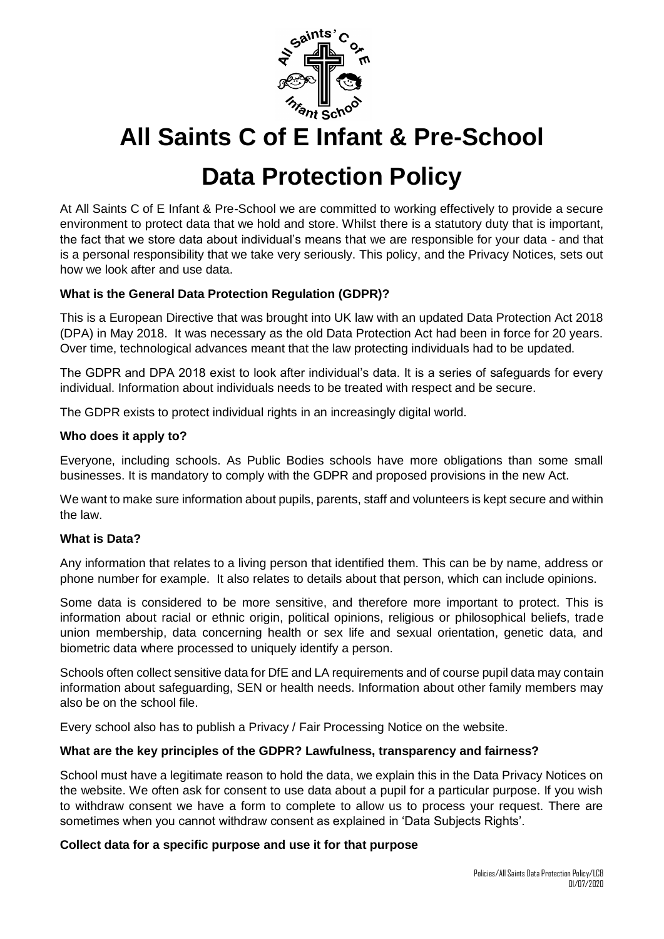

# **All Saints C of E Infant & Pre-School**

# **Data Protection Policy**

At All Saints C of E Infant & Pre-School we are committed to working effectively to provide a secure environment to protect data that we hold and store. Whilst there is a statutory duty that is important, the fact that we store data about individual's means that we are responsible for your data - and that is a personal responsibility that we take very seriously. This policy, and the Privacy Notices, sets out how we look after and use data.

# **What is the General Data Protection Regulation (GDPR)?**

This is a European Directive that was brought into UK law with an updated Data Protection Act 2018 (DPA) in May 2018. It was necessary as the old Data Protection Act had been in force for 20 years. Over time, technological advances meant that the law protecting individuals had to be updated.

The GDPR and DPA 2018 exist to look after individual's data. It is a series of safeguards for every individual. Information about individuals needs to be treated with respect and be secure.

The GDPR exists to protect individual rights in an increasingly digital world.

# **Who does it apply to?**

Everyone, including schools. As Public Bodies schools have more obligations than some small businesses. It is mandatory to comply with the GDPR and proposed provisions in the new Act.

We want to make sure information about pupils, parents, staff and volunteers is kept secure and within the law.

## **What is Data?**

Any information that relates to a living person that identified them. This can be by name, address or phone number for example. It also relates to details about that person, which can include opinions.

Some data is considered to be more sensitive, and therefore more important to protect. This is information about racial or ethnic origin, political opinions, religious or philosophical beliefs, trade union membership, data concerning health or sex life and sexual orientation, genetic data, and biometric data where processed to uniquely identify a person.

Schools often collect sensitive data for DfE and LA requirements and of course pupil data may contain information about safeguarding, SEN or health needs. Information about other family members may also be on the school file.

Every school also has to publish a Privacy / Fair Processing Notice on the website.

## **What are the key principles of the GDPR? Lawfulness, transparency and fairness?**

School must have a legitimate reason to hold the data, we explain this in the Data Privacy Notices on the website. We often ask for consent to use data about a pupil for a particular purpose. If you wish to withdraw consent we have a form to complete to allow us to process your request. There are sometimes when you cannot withdraw consent as explained in 'Data Subjects Rights'.

## **Collect data for a specific purpose and use it for that purpose**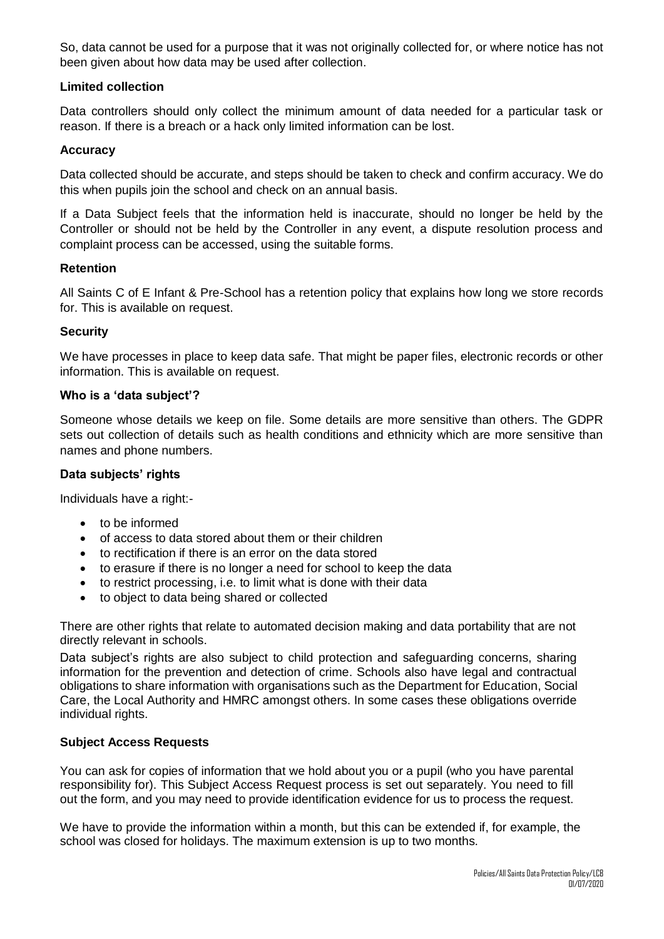So, data cannot be used for a purpose that it was not originally collected for, or where notice has not been given about how data may be used after collection.

# **Limited collection**

Data controllers should only collect the minimum amount of data needed for a particular task or reason. If there is a breach or a hack only limited information can be lost.

# **Accuracy**

Data collected should be accurate, and steps should be taken to check and confirm accuracy. We do this when pupils join the school and check on an annual basis.

If a Data Subject feels that the information held is inaccurate, should no longer be held by the Controller or should not be held by the Controller in any event, a dispute resolution process and complaint process can be accessed, using the suitable forms.

# **Retention**

All Saints C of E Infant & Pre-School has a retention policy that explains how long we store records for. This is available on request.

# **Security**

We have processes in place to keep data safe. That might be paper files, electronic records or other information. This is available on request.

# **Who is a 'data subject'?**

Someone whose details we keep on file. Some details are more sensitive than others. The GDPR sets out collection of details such as health conditions and ethnicity which are more sensitive than names and phone numbers.

# **Data subjects' rights**

Individuals have a right:-

- to be informed
- of access to data stored about them or their children
- to rectification if there is an error on the data stored
- to erasure if there is no longer a need for school to keep the data
- to restrict processing, i.e. to limit what is done with their data
- to object to data being shared or collected

There are other rights that relate to automated decision making and data portability that are not directly relevant in schools.

Data subject's rights are also subject to child protection and safeguarding concerns, sharing information for the prevention and detection of crime. Schools also have legal and contractual obligations to share information with organisations such as the Department for Education, Social Care, the Local Authority and HMRC amongst others. In some cases these obligations override individual rights.

## **Subject Access Requests**

You can ask for copies of information that we hold about you or a pupil (who you have parental responsibility for). This Subject Access Request process is set out separately. You need to fill out the form, and you may need to provide identification evidence for us to process the request.

We have to provide the information within a month, but this can be extended if, for example, the school was closed for holidays. The maximum extension is up to two months.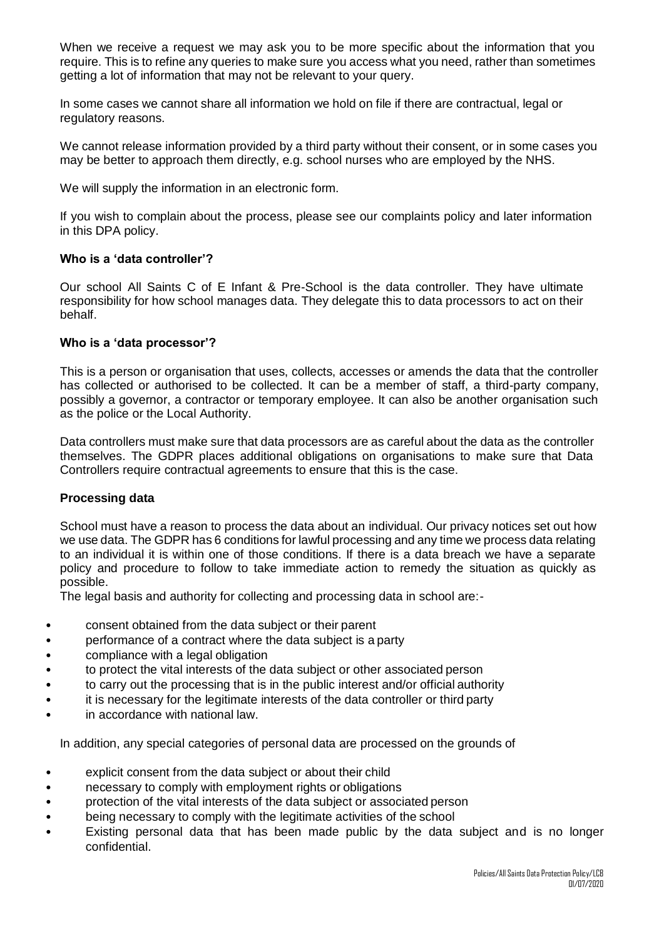When we receive a request we may ask you to be more specific about the information that you require. This is to refine any queries to make sure you access what you need, rather than sometimes getting a lot of information that may not be relevant to your query.

In some cases we cannot share all information we hold on file if there are contractual, legal or regulatory reasons.

We cannot release information provided by a third party without their consent, or in some cases you may be better to approach them directly, e.g. school nurses who are employed by the NHS.

We will supply the information in an electronic form.

If you wish to complain about the process, please see our complaints policy and later information in this DPA policy.

## **Who is a 'data controller'?**

Our school All Saints C of E Infant & Pre-School is the data controller. They have ultimate responsibility for how school manages data. They delegate this to data processors to act on their behalf.

#### **Who is a 'data processor'?**

This is a person or organisation that uses, collects, accesses or amends the data that the controller has collected or authorised to be collected. It can be a member of staff, a third-party company, possibly a governor, a contractor or temporary employee. It can also be another organisation such as the police or the Local Authority.

Data controllers must make sure that data processors are as careful about the data as the controller themselves. The GDPR places additional obligations on organisations to make sure that Data Controllers require contractual agreements to ensure that this is the case.

## **Processing data**

School must have a reason to process the data about an individual. Our privacy notices set out how we use data. The GDPR has 6 conditions for lawful processing and any time we process data relating to an individual it is within one of those conditions. If there is a data breach we have a separate policy and procedure to follow to take immediate action to remedy the situation as quickly as possible.

The legal basis and authority for collecting and processing data in school are:-

- consent obtained from the data subject or their parent
- performance of a contract where the data subject is a party
- compliance with a legal obligation
- to protect the vital interests of the data subject or other associated person
- to carry out the processing that is in the public interest and/or official authority
- it is necessary for the legitimate interests of the data controller or third party
- in accordance with national law.

In addition, any special categories of personal data are processed on the grounds of

- explicit consent from the data subject or about their child
- necessary to comply with employment rights or obligations
- protection of the vital interests of the data subject or associated person
- being necessary to comply with the legitimate activities of the school
- Existing personal data that has been made public by the data subject and is no longer confidential.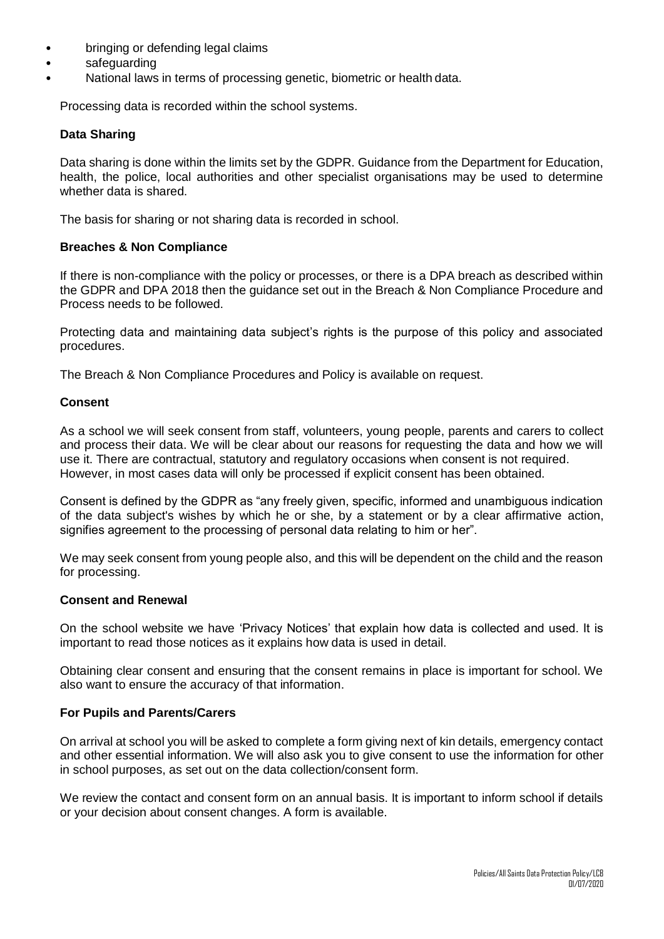- bringing or defending legal claims
- safeguarding
- National laws in terms of processing genetic, biometric or health data.

Processing data is recorded within the school systems.

#### **Data Sharing**

Data sharing is done within the limits set by the GDPR. Guidance from the Department for Education, health, the police, local authorities and other specialist organisations may be used to determine whether data is shared.

The basis for sharing or not sharing data is recorded in school.

#### **Breaches & Non Compliance**

If there is non-compliance with the policy or processes, or there is a DPA breach as described within the GDPR and DPA 2018 then the guidance set out in the Breach & Non Compliance Procedure and Process needs to be followed.

Protecting data and maintaining data subject's rights is the purpose of this policy and associated procedures.

The Breach & Non Compliance Procedures and Policy is available on request.

#### **Consent**

As a school we will seek consent from staff, volunteers, young people, parents and carers to collect and process their data. We will be clear about our reasons for requesting the data and how we will use it. There are contractual, statutory and regulatory occasions when consent is not required. However, in most cases data will only be processed if explicit consent has been obtained.

Consent is defined by the GDPR as "any freely given, specific, informed and unambiguous indication of the data subject's wishes by which he or she, by a statement or by a clear affirmative action, signifies agreement to the processing of personal data relating to him or her".

We may seek consent from young people also, and this will be dependent on the child and the reason for processing.

#### **Consent and Renewal**

On the school website we have 'Privacy Notices' that explain how data is collected and used. It is important to read those notices as it explains how data is used in detail.

Obtaining clear consent and ensuring that the consent remains in place is important for school. We also want to ensure the accuracy of that information.

## **For Pupils and Parents/Carers**

On arrival at school you will be asked to complete a form giving next of kin details, emergency contact and other essential information. We will also ask you to give consent to use the information for other in school purposes, as set out on the data collection/consent form.

We review the contact and consent form on an annual basis. It is important to inform school if details or your decision about consent changes. A form is available.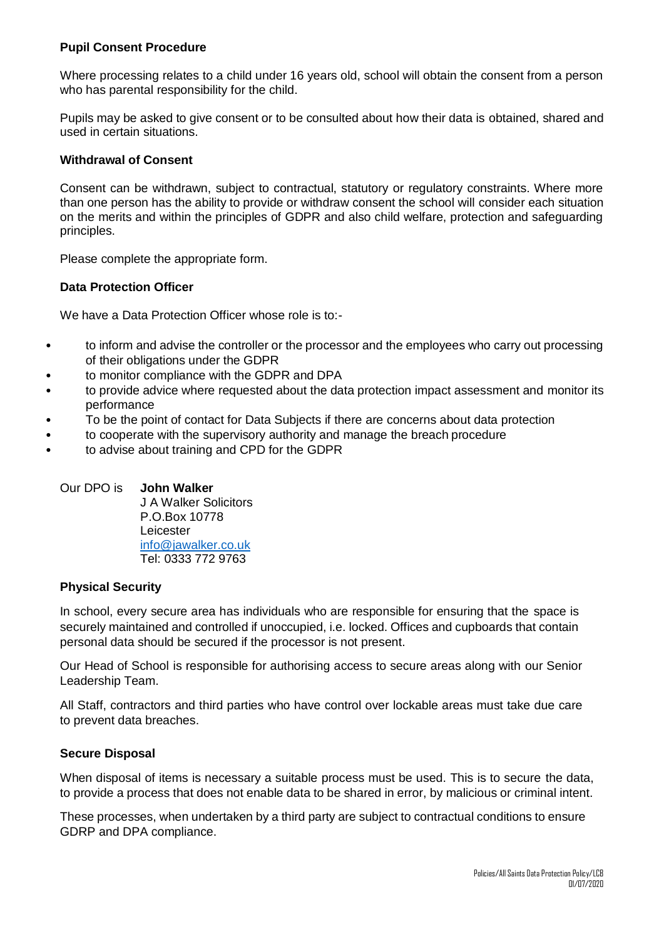# **Pupil Consent Procedure**

Where processing relates to a child under 16 years old, school will obtain the consent from a person who has parental responsibility for the child.

Pupils may be asked to give consent or to be consulted about how their data is obtained, shared and used in certain situations.

## **Withdrawal of Consent**

Consent can be withdrawn, subject to contractual, statutory or regulatory constraints. Where more than one person has the ability to provide or withdraw consent the school will consider each situation on the merits and within the principles of GDPR and also child welfare, protection and safeguarding principles.

Please complete the appropriate form.

## **Data Protection Officer**

We have a Data Protection Officer whose role is to:-

- to inform and advise the controller or the processor and the employees who carry out processing of their obligations under the GDPR
- to monitor compliance with the GDPR and DPA
- to provide advice where requested about the data protection impact assessment and monitor its performance
- To be the point of contact for Data Subjects if there are concerns about data protection
- to cooperate with the supervisory authority and manage the breach procedure
- to advise about training and CPD for the GDPR

## Our DPO is **John Walker**

J A Walker Solicitors P.O.Box 10778 Leicester [info@jawalker.co.uk](mailto:info@jawalker.co.uk)  Tel: 0333 772 9763

#### **Physical Security**

In school, every secure area has individuals who are responsible for ensuring that the space is securely maintained and controlled if unoccupied, i.e. locked. Offices and cupboards that contain personal data should be secured if the processor is not present.

Our Head of School is responsible for authorising access to secure areas along with our Senior Leadership Team.

All Staff, contractors and third parties who have control over lockable areas must take due care to prevent data breaches.

## **Secure Disposal**

When disposal of items is necessary a suitable process must be used. This is to secure the data, to provide a process that does not enable data to be shared in error, by malicious or criminal intent.

These processes, when undertaken by a third party are subject to contractual conditions to ensure GDRP and DPA compliance.